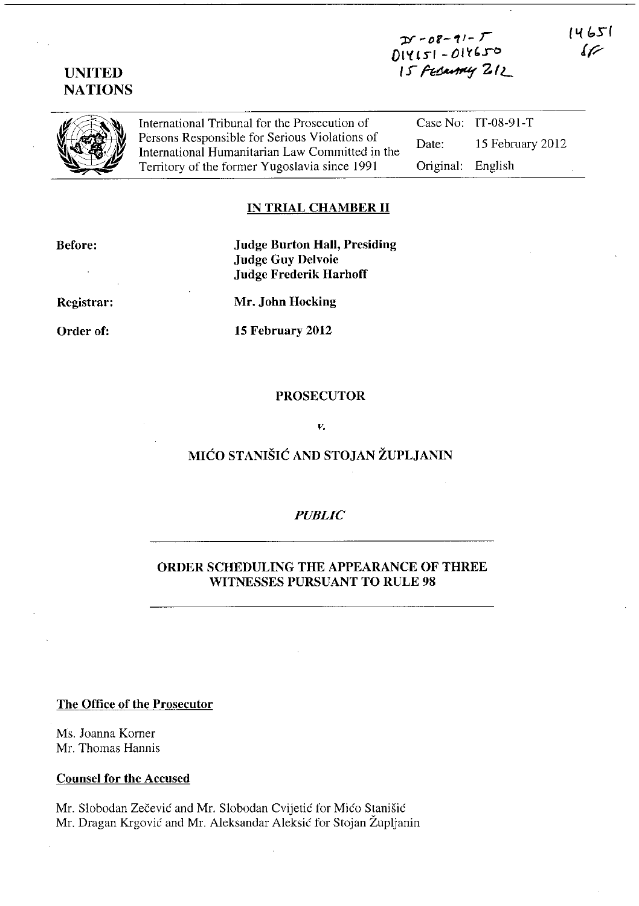# $Df - 08 - 91 - F$ 014121 - 016620 15 Fesantly 212

14651  $\cal U$ 



UNITED **NATIONS** 

> International Tribunal for the Prosecution of Persons Responsible for Serious Violations of International Humanitarian Law Committed in the Territory of the former Yugoslavia since 1991

Case No: IT-08-91-T Date: 15 February 2012 Original: English

## IN TRIAL CHAMBER 11

Before:

Registrar:

Order of:

Judge Burton Hall, Presiding Judge Guy Delvoie Judge Frederik HarhofT

Mr. John Hocking

15 February 2012

### PROSECUTOR

#### *v.*

# MICO STANISIC AND STOJAN ZUPLJANIN

### *PUBLIC*

## ORDER SCHEDULING THE APPEARANCE OF THREE WITNESSES PURSUANT TO RULE 98

### The Office of the Prosecutor

Ms. Joanna Korner Mr. Thomas Hannis

#### Counsel for the Accused

Mr. Slobodan Zečević and Mr. Slobodan Cvijetić for Mićo Stanišić Mr. Dragan Krgović and Mr. Aleksandar Aleksić for Stojan Župljanin